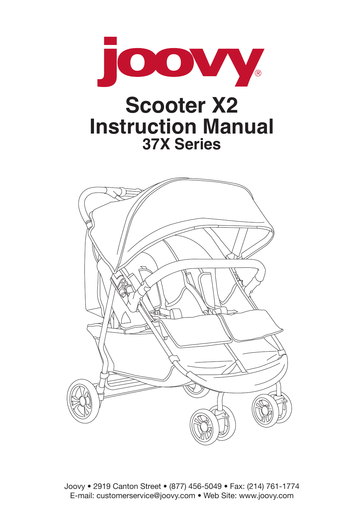

Joovy . 2919 Canton Street . (877) 456-5049 . Fax: (214) 761-1774 E-mail: customerservice@joovy.com . Web Site: www.joovy.com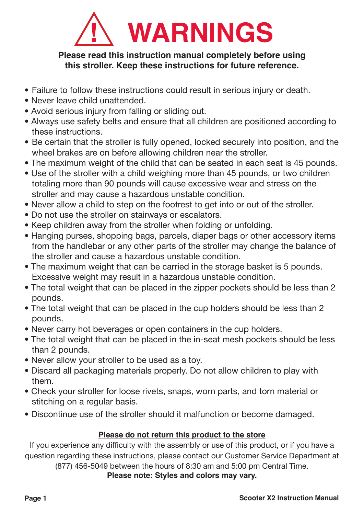

#### **Please read this instruction manual completely before using this stroller. Keep these instructions for future reference.**

- Failure to follow these instructions could result in serious injury or death.
- Never leave child unattended
- Avoid serious injury from falling or sliding out.
- Always use safety belts and ensure that all children are positioned according to these instructions
- Be certain that the stroller is fully opened, locked securely into position, and the wheel brakes are on before allowing children near the stroller.
- The maximum weight of the child that can be seated in each seat is 45 pounds.
- Use of the stroller with a child weighing more than 45 pounds, or two children totaling more than 90 pounds will cause excessive wear and stress on the stroller and may cause a hazardous unstable condition.
- Never allow a child to step on the footrest to get into or out of the stroller.
- Do not use the stroller on stairways or escalators.
- Keep children away from the stroller when folding or unfolding.
- Hanging purses, shopping bags, parcels, diaper bags or other accessory items from the handlebar or any other parts of the stroller may change the balance of the stroller and cause a hazardous unstable condition.
- The maximum weight that can be carried in the storage basket is 5 pounds. Excessive weight may result in a hazardous unstable condition.
- The total weight that can be placed in the zipper pockets should be less than 2 pounds.
- The total weight that can be placed in the cup holders should be less than 2 pounds.
- Never carry hot beverages or open containers in the cup holders.
- The total weight that can be placed in the in-seat mesh pockets should be less than 2 pounds.
- Never allow your stroller to be used as a toy.
- Discard all packaging materials properly. Do not allow children to play with them
- Check your stroller for loose rivets, snaps, worn parts, and torn material or stitching on a regular basis.
- Discontinue use of the stroller should it malfunction or become damaged.

#### **Please do not return this product to the store**

If you experience any difficulty with the assembly or use of this product, or if you have a question regarding these instructions, please contact our Customer Service Department at

 $(877)$  456-5049 between the hours of 8:30 am and 5:00 pm Central Time.

**Please note: Styles and colors may vary.**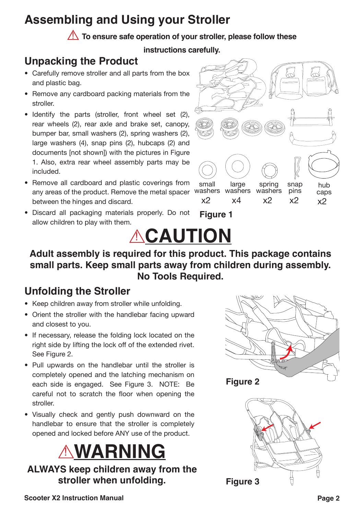## **Assembling and Using your Stroller**

**To ensure safe operation of your stroller, please follow these** 

**instructions carefully.**

### **Unpacking the Product**

- Carefully remove stroller and all parts from the box and plastic bag.
- Remove any cardboard packing materials from the stroller
- $\bullet$  Identify the parts (stroller, front wheel set (2), rear wheels (2), rear axle and brake set, canopy, bumper bar, small washers (2), spring washers (2), large washers  $(4)$ , snap pins  $(2)$ , hubcaps  $(2)$  and documents [not shown]) with the pictures in Figure 1. Also, extra rear wheel assembly parts may be Pulnini
- Remove all cardboard and plastic coverings from any areas of the product. Remove the metal spacer between the hinges and discard.
- **Figure 1** • Discard all packaging materials properly. Do not allow children to play with them.



**ACAUTION Adult assembly is required for this product. This package contains small parts. Keep small parts away from children during assembly. No Tools Required.**

### **Unfolding the Stroller**

- Keep children away from stroller while unfolding.
- Orient the stroller with the handlebar facing upward and closest to vou.
- If necessary, release the folding lock located on the right side by lifting the lock off of the extended rivet. See Figure 2.
- Pull upwards on the handlebar until the stroller is completely opened and the latching mechanism on each side is engaged. See Figure 3. NOTE: Be careful not to scratch the floor when opening the stroller.
- Visually check and gently push downward on the handlebar to ensure that the stroller is completely opened and locked before ANY use of the product.

## ! **WARNING**

**ALWAYS keep children away from the stroller when unfolding.**



**Figure 2**

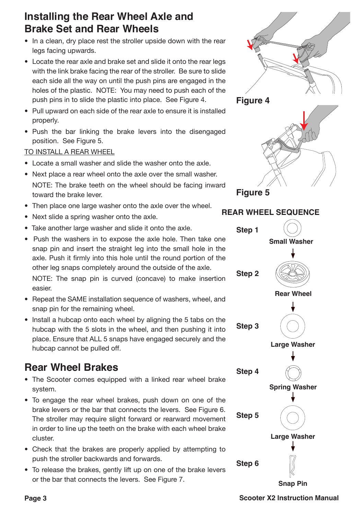#### **Installing the Rear Wheel Axle and Brake Set and Rear Wheels**

- In a clean, dry place rest the stroller upside down with the rear legs facing upwards.
- Locate the rear axle and brake set and slide it onto the rear legs with the link brake facing the rear of the stroller. Be sure to slide each side all the way on until the push pins are engaged in the holes of the plastic. NOTE: You may need to push each of the push pins in to slide the plastic into place. See Figure 4.
- Pull upward on each side of the rear axle to ensure it is installed properly.
- Push the bar linking the brake levers into the disengaged position. See Figure 5.

#### TO INSTALL A REAR WHEEL

- $\bullet$  Locate a small washer and slide the washer onto the axle.
- Next place a rear wheel onto the axle over the small washer. NOTE: The brake teeth on the wheel should be facing inward toward the brake lever.
- Then place one large washer onto the axle over the wheel.
- Next slide a spring washer onto the axle.
- Take another large washer and slide it onto the axle.
- Push the washers in to expose the axle hole. Then take one snap pin and insert the straight leg into the small hole in the axle. Push it firmly into this hole until the round portion of the other leg snaps completely around the outside of the axle. NOTE: The snap pin is curved (concave) to make insertion easier
- Repeat the SAME installation sequence of washers, wheel, and snap pin for the remaining wheel.
- Install a hubcap onto each wheel by aligning the 5 tabs on the hubcap with the 5 slots in the wheel, and then pushing it into place. Ensure that ALL 5 snaps have engaged securely and the hubcap cannot be pulled off.

#### **Rear Wheel Brakes**

- The Scooter comes equipped with a linked rear wheel brake svstem.
- To engage the rear wheel brakes, push down on one of the brake levers or the bar that connects the levers. See Figure 6. The stroller may require slight forward or rearward movement in order to line up the teeth on the brake with each wheel brake cluster
- Check that the brakes are properly applied by attempting to push the stroller backwards and forwards.
- To release the brakes, gently lift up on one of the brake levers or the bar that connects the levers. See Figure 7.



**Page 3 Scooter X2 Instruction Manual**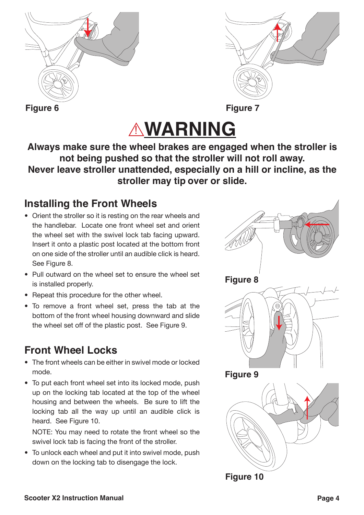



# ! **WARNING**

**Always make sure the wheel brakes are engaged when the stroller is not being pushed so that the stroller will not roll away. Never leave stroller unattended, especially on a hill or incline, as the stroller may tip over or slide.**

#### **Installing the Front Wheels**

- Orient the stroller so it is resting on the rear wheels and the handlebar. Locate one front wheel set and orient the wheel set with the swivel lock tab facing upward. Insert it onto a plastic post located at the bottom front on one side of the stroller until an audible click is heard. See Figure 8.
- Pull outward on the wheel set to ensure the wheel set is installed properly.
- Repeat this procedure for the other wheel.
- To remove a front wheel set, press the tab at the bottom of the front wheel housing downward and slide the wheel set off of the plastic post. See Figure 9.

### **Front Wheel Locks**

- $\bullet$  The front wheels can be either in swivel mode or locked mode
- To put each front wheel set into its locked mode, push up on the locking tab located at the top of the wheel housing and between the wheels. Be sure to lift the locking tab all the way up until an audible click is heard. See Figure 10.

NOTE: You may need to rotate the front wheel so the swivel lock tab is facing the front of the stroller.

• To unlock each wheel and put it into swivel mode, push down on the locking tab to disengage the lock.

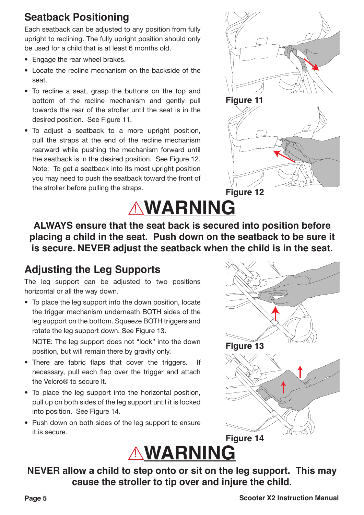#### **Seatback Positioning**

Each seatback can be adjusted to any position from fully upright to reclining. The fully upright position should only be used for a child that is at least 6 months old.

- $\bullet$  Fngage the rear wheel brakes.
- $\bullet$  Locate the recline mechanism on the backside of the seat.
- To recline a seat, grasp the buttons on the top and bottom of the recline mechanism and gently pull towards the rear of the stroller until the seat is in the desired position. See Figure 11.
- $\bullet$  To adjust a seatback to a more upright position, pull the straps at the end of the recline mechanism rearward while pushing the mechanism forward until the seatback is in the desired position. See Figure 12. Note: To get a seatback into its most upright position you may need to push the seatback toward the front of the stroller before pulling the straps.





**ALWAYS ensure that the seat back is secured into position before placing a child in the seat. Push down on the seatback to be sure it is secure. NEVER adjust the seatback when the child is in the seat.**

### **Adjusting the Leg Supports**

The leg support can be adjusted to two positions horizontal or all the way down.

• To place the leg support into the down position, locate the trigger mechanism underneath BOTH sides of the leg support on the bottom. Squeeze BOTH triggers and rotate the leg support down. See Figure 13. NOTE: The lea support does not "lock" into the down

position, but will remain there by gravity only.

- There are fabric flaps that cover the triggers. If necessary, pull each flap over the trigger and attach the Velcro® to secure it.
- To place the leg support into the horizontal position, pull up on both sides of the leg support until it is locked into position. See Figure 14.
- Push down on both sides of the lea support to ensure it is secure.





**NEVER allow a child to step onto or sit on the leg support. This may cause the stroller to tip over and injure the child.**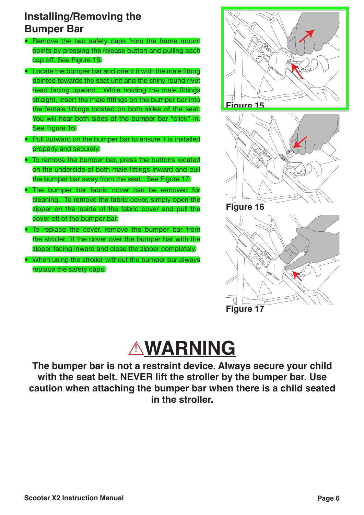#### **Installing/Removing the Bumper Bar**

- Remove the two safety caps from the frame mount points by pressing the release button and pulling each cap off. See Figure 15.
- Locate the bumper bar and orient it with the male fitting pointed towards the seat unit and the shiny round rivet head facing upward. While holding the male fittings straight, insert the male fittings on the bumper bar into the female fittings located on both sides of the seat. You will hear both sides of the bumper bar "click" in. See Figure 16.
- Pull outward on the bumper bar to ensure it is installed properly and securely.
- To remove the bumper bar, press the buttons located on the underside of both male fittings inward and pull the bumper bar away from the seat. See Figure 17.
- The bumper bar fabric cover can be removed for cleaning. To remove the fabric cover, simply open the zipper on the inside of the fabric cover and pull the cover off of the bumper bar.
- To replace the cover, remove the bumper bar from the stroller, fit the cover over the bumper bar with the zipper facing inward and close the zipper completely.
- When using the stroller without the bumper bar always replace the safety caps.





## **AWARNING**

The bumper bar is not a restraint device. Always secure your child with the seat belt. NEVER lift the stroller by the bumper bar. Use caution when attaching the bumper bar when there is a child seated in the stroller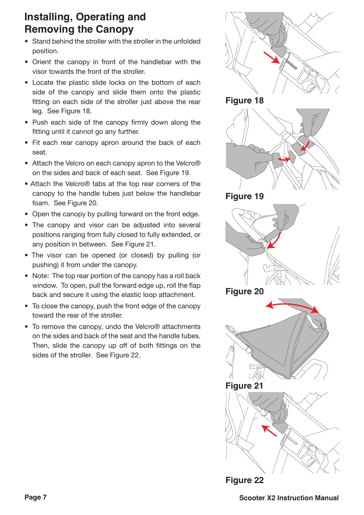### **Installing, Operating and Removing the Canopy**

- Stand behind the stroller with the stroller in the unfolded position.
- Orient the canopy in front of the handlebar with the visor towards the front of the stroller.
- Locate the plastic slide locks on the bottom of each side of the canopy and slide them onto the plastic fitting on each side of the stroller just above the rear leg. See Figure 18.
- Push each side of the canopy firmly down along the fitting until it cannot go any further.
- Fit each rear canopy apron around the back of each seat.
- Attach the Velcro on each canopy apron to the Velcro® on the sides and back of each seat. See Figure 19.
- Attach the Velcro® tabs at the top rear corners of the canopy to the handle tubes just below the handlebar foam. See Figure 20.
- Open the canopy by pulling forward on the front edge.
- The canopy and visor can be adjusted into several positions ranging from fully closed to fully extended, or any position in between. See Figure 21.
- The visor can be opened (or closed) by pulling (or pushing) it from under the canopy.
- Note: The top rear portion of the canopy has a roll back window. To open, pull the forward edge up, roll the flap back and secure it using the elastic loop attachment.
- To close the canopy, push the front edge of the canopy toward the rear of the stroller.
- To remove the canopy, undo the Velcro® attachments on the sides and back of the seat and the handle tubes. Then, slide the canopy up off of both fittings on the sides of the stroller. See Figure 22.

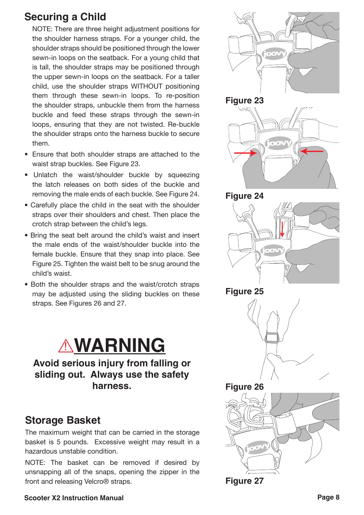#### **Securing a Child**

NOTE: There are three height adiustment positions for the shoulder harness straps. For a vounger child, the shoulder straps should be positioned through the lower sewn-in loops on the seatback. For a voung child that is tall, the shoulder straps may be positioned through the upper sewn-in loops on the seatback. For a taller child, use the shoulder straps WITHOUT positioning them through these sewn-in loops. To re-position the shoulder straps, unbuckle them from the harness buckle and feed these straps through the sewn-in loops, ensuring that they are not twisted. Re-buckle the shoulder straps onto the harness buckle to secure them.

- Ensure that both shoulder straps are attached to the waist strap buckles. See Figure 23.
- Unlatch the waist/shoulder buckle by squeezing the latch releases on both sides of the buckle and removing the male ends of each buckle. See Figure 24.
- $\bullet$  Carefully place the child in the seat with the shoulder straps over their shoulders and chest. Then place the crotch strap between the child's legs.
- Bring the seat belt around the child's waist and insert the male ends of the waist/shoulder buckle into the female buckle. Ensure that they snap into place. See Figure 25. Tighten the waist belt to be snug around the child's waist
- Both the shoulder straps and the waist/crotch straps may be adjusted using the sliding buckles on these straps. See Figures 26 and 27.



**Avoid serious injury from falling or sliding out. Always use the safety harness.**

#### **Storage Basket**

The maximum weight that can be carried in the storage basket is 5 pounds. Excessive weight may result in a hazardous unstable condition.

NOTE: The basket can be removed if desired by unsnapping all of the snaps, opening the zipper in the front and releasing Velcro<sup>®</sup> straps. The manufacture 27



#### **Scooter X2 Instruction Manual Page 8**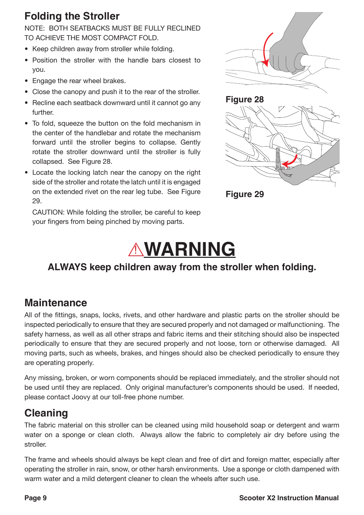#### **Folding the Stroller**

NOTE: BOTH SEATBACKS MUST BE FULLY RECLINED TO ACHIEVE THE MOST COMPACT FOLD.

- Keep children away from stroller while folding.
- Position the stroller with the handle bars closest to vou.
- Engage the rear wheel brakes.
- Close the canopy and push it to the rear of the stroller.
- $\bullet$  Recline each seatback downward until it cannot go any further
- $\bullet$  To fold, squeeze the button on the fold mechanism in the center of the handlebar and rotate the mechanism forward until the stroller begins to collapse. Gently rotate the stroller downward until the stroller is fully collapsed. See Figure 28.
- Locate the locking latch near the canopy on the right side of the stroller and rotate the latch until it is engaged on the extended rivet on the rear leg tube. See Figure 29.

CAUTION: While folding the stroller, be careful to keep your fingers from being pinched by moving parts.







## ! **WARNING**

#### **ALWAYS keep children away from the stroller when folding.**

#### **Maintenance**

All of the fittings, snaps, locks, rivets, and other hardware and plastic parts on the stroller should be inspected periodically to ensure that they are secured properly and not damaged or malfunctioning. The safety harness, as well as all other straps and fabric items and their stitching should also be inspected periodically to ensure that they are secured properly and not loose, torn or otherwise damaged. All moving parts, such as wheels, brakes, and hinges should also be checked periodically to ensure they are operating properly.

Any missing, broken, or worn components should be replaced immediately, and the stroller should not be used until they are replaced. Only original manufacturer's components should be used. If needed, please contact Joovy at our toll-free phone number.

#### **Cleaning**

The fabric material on this stroller can be cleaned using mild household soap or detergent and warm water on a sponge or clean cloth. Always allow the fabric to completely air dry before using the stroller

The frame and wheels should always be kept clean and free of dirt and foreign matter, especially after operating the stroller in rain, snow, or other harsh environments. Use a sponge or cloth dampened with warm water and a mild detergent cleaner to clean the wheels after such use.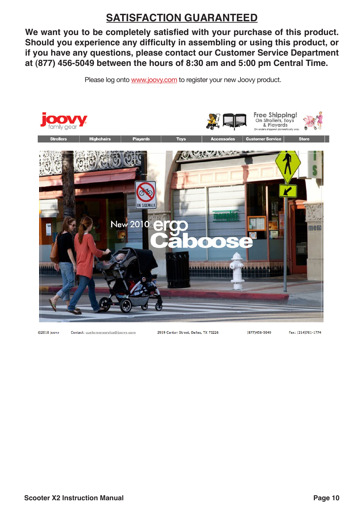### **SATISFACTION GUARANTEED**

We want you to be completely satisfied with your purchase of this product. Should you experience any difficulty in assembling or using this product, or **if you have any questions, please contact our Customer Service Department at (877) 456-5049 between the hours of 8:30 am and 5:00 pm Central Time.**

Please log onto www.joovy.com to register your new Joovy product.



@2010 joovy

Contact: customerservice@joovy.com

2919 Canton Street, Dallas, TX 75226

 $(877)456 - 5049$